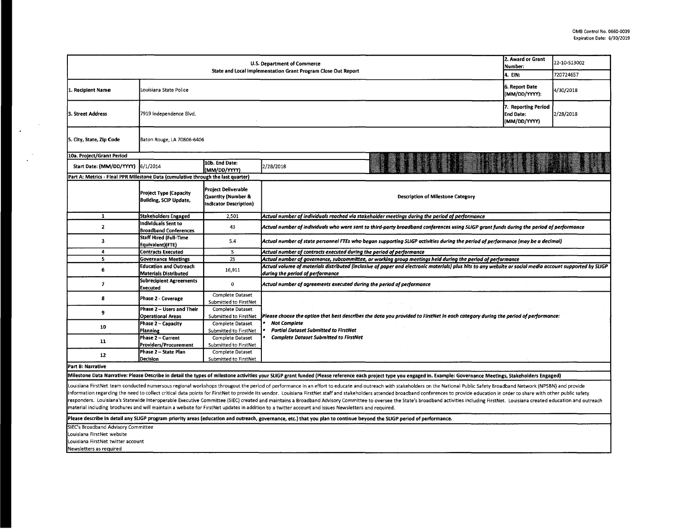| U.S. Department of Commerce<br>State and Local Implementation Grant Program Close Out Report                                                                                                                                                                                                                                                                                                                                                                                                                                                                                                                                                                                                                                                                                                                                                            |                                                                                                                                                                                                                                                                         |                                                  |                                                                                                                                   | 2. Award or Grant<br>Number:<br>4. EIN: | 22-10-S13002<br>720724657 |  |  |
|---------------------------------------------------------------------------------------------------------------------------------------------------------------------------------------------------------------------------------------------------------------------------------------------------------------------------------------------------------------------------------------------------------------------------------------------------------------------------------------------------------------------------------------------------------------------------------------------------------------------------------------------------------------------------------------------------------------------------------------------------------------------------------------------------------------------------------------------------------|-------------------------------------------------------------------------------------------------------------------------------------------------------------------------------------------------------------------------------------------------------------------------|--------------------------------------------------|-----------------------------------------------------------------------------------------------------------------------------------|-----------------------------------------|---------------------------|--|--|
| 1. Recipient Name                                                                                                                                                                                                                                                                                                                                                                                                                                                                                                                                                                                                                                                                                                                                                                                                                                       | Louisiana State Police                                                                                                                                                                                                                                                  |                                                  |                                                                                                                                   | 6. Report Date<br>(MM/DD/YYYY):         | 4/30/2018                 |  |  |
| 3. Street Address                                                                                                                                                                                                                                                                                                                                                                                                                                                                                                                                                                                                                                                                                                                                                                                                                                       | 7. Reporting Period<br>7919 Independence Blvd.<br>End Date:<br>2/28/2018<br>(MM/DD/YYYY)                                                                                                                                                                                |                                                  |                                                                                                                                   |                                         |                           |  |  |
| 5. City, State, Zip Code                                                                                                                                                                                                                                                                                                                                                                                                                                                                                                                                                                                                                                                                                                                                                                                                                                | Baton Rouge, LA 70806-6406                                                                                                                                                                                                                                              |                                                  |                                                                                                                                   |                                         |                           |  |  |
| 10a. Project/Grant Period                                                                                                                                                                                                                                                                                                                                                                                                                                                                                                                                                                                                                                                                                                                                                                                                                               |                                                                                                                                                                                                                                                                         |                                                  |                                                                                                                                   |                                         |                           |  |  |
| Start Date: (MM/DD/YYYY)                                                                                                                                                                                                                                                                                                                                                                                                                                                                                                                                                                                                                                                                                                                                                                                                                                | 6/1/2014                                                                                                                                                                                                                                                                | 10b. End Date:<br>(MM/DD/YYYY)                   | 2/28/2018                                                                                                                         |                                         |                           |  |  |
| Part A: Metrics - Final PPR Milestone Data (cumulative through the last quarter)                                                                                                                                                                                                                                                                                                                                                                                                                                                                                                                                                                                                                                                                                                                                                                        |                                                                                                                                                                                                                                                                         |                                                  |                                                                                                                                   |                                         |                           |  |  |
|                                                                                                                                                                                                                                                                                                                                                                                                                                                                                                                                                                                                                                                                                                                                                                                                                                                         | <b>Project Deliverable</b><br><b>Project Type (Capacity</b><br><b>Quantity (Number &amp;</b><br><b>Description of Milestone Category</b><br><b>Building, SCIP Update,</b><br><b>Indicator Description)</b>                                                              |                                                  |                                                                                                                                   |                                         |                           |  |  |
| $\mathbf{1}$                                                                                                                                                                                                                                                                                                                                                                                                                                                                                                                                                                                                                                                                                                                                                                                                                                            | <b>Stakeholders Engaged</b>                                                                                                                                                                                                                                             | 2,501                                            | Actual number of individuals reached via stakeholder meetings during the period of performance                                    |                                         |                           |  |  |
| $\mathbf{2}$                                                                                                                                                                                                                                                                                                                                                                                                                                                                                                                                                                                                                                                                                                                                                                                                                                            | Individuals Sent to<br>Actual number of individuals who were sent to third-party broadband conferences using SLIGP grant funds during the period of performance<br>43<br><b>Broadband Conferences</b>                                                                   |                                                  |                                                                                                                                   |                                         |                           |  |  |
| 3                                                                                                                                                                                                                                                                                                                                                                                                                                                                                                                                                                                                                                                                                                                                                                                                                                                       | Staff Hired (Full-Time<br>5.4<br>Actual number of state personnel FTEs who began supporting SLIGP activities during the period of performance (may be a decimal)<br>Equivalent)(FTE)                                                                                    |                                                  |                                                                                                                                   |                                         |                           |  |  |
| 4                                                                                                                                                                                                                                                                                                                                                                                                                                                                                                                                                                                                                                                                                                                                                                                                                                                       | <b>Contracts Executed</b>                                                                                                                                                                                                                                               | 5                                                | Actual number of contracts executed during the period of performance                                                              |                                         |                           |  |  |
| 5                                                                                                                                                                                                                                                                                                                                                                                                                                                                                                                                                                                                                                                                                                                                                                                                                                                       | 25<br>Actual number of governance, subcommittee, or working group meetings held during the period of performance<br><b>Governance Meetings</b>                                                                                                                          |                                                  |                                                                                                                                   |                                         |                           |  |  |
| 6                                                                                                                                                                                                                                                                                                                                                                                                                                                                                                                                                                                                                                                                                                                                                                                                                                                       | <b>Education and Outreach</b><br>Actual volume of materials distributed (inclusive of paper and electronic materials) plus hits to any website or social media account supported by SLIGP<br>16,911<br><b>Materials Distributed</b><br>during the period of performance |                                                  |                                                                                                                                   |                                         |                           |  |  |
| $\overline{\mathbf{z}}$                                                                                                                                                                                                                                                                                                                                                                                                                                                                                                                                                                                                                                                                                                                                                                                                                                 | <b>Subrecipient Agreements</b><br>Actual number of agreements executed during the period of performance<br>$\mathbf 0$<br><b>Executed</b>                                                                                                                               |                                                  |                                                                                                                                   |                                         |                           |  |  |
| 8                                                                                                                                                                                                                                                                                                                                                                                                                                                                                                                                                                                                                                                                                                                                                                                                                                                       | Phase 2 - Coverage                                                                                                                                                                                                                                                      | Complete Dataset<br>Submitted to FirstNet        |                                                                                                                                   |                                         |                           |  |  |
| $\mathbf{9}$                                                                                                                                                                                                                                                                                                                                                                                                                                                                                                                                                                                                                                                                                                                                                                                                                                            | Phase 2 - Users and Their<br><b>Operational Areas</b>                                                                                                                                                                                                                   | <b>Complete Dataset</b><br>Submitted to FirstNet | Please choose the option that best describes the data you provided to FirstNet in each category during the period of performance: |                                         |                           |  |  |
| 10                                                                                                                                                                                                                                                                                                                                                                                                                                                                                                                                                                                                                                                                                                                                                                                                                                                      | Phase 2 - Capacity<br>Planning                                                                                                                                                                                                                                          | Complete Dataset<br>Submitted to FirstNet        | <b>Not Complete</b><br><b>Partial Dataset Submitted to FirstNet</b>                                                               |                                         |                           |  |  |
| 11                                                                                                                                                                                                                                                                                                                                                                                                                                                                                                                                                                                                                                                                                                                                                                                                                                                      | Phase 2 - Current<br><b>Providers/Procurement</b>                                                                                                                                                                                                                       | Complete Dataset<br>Submitted to FirstNet        | <b>Complete Dataset Submitted to FirstNet</b>                                                                                     |                                         |                           |  |  |
| 12                                                                                                                                                                                                                                                                                                                                                                                                                                                                                                                                                                                                                                                                                                                                                                                                                                                      | Phase 2 - State Plan<br>Decision                                                                                                                                                                                                                                        | Complete Dataset<br>Submitted to FirstNet        |                                                                                                                                   |                                         |                           |  |  |
| Part B: Narrative                                                                                                                                                                                                                                                                                                                                                                                                                                                                                                                                                                                                                                                                                                                                                                                                                                       |                                                                                                                                                                                                                                                                         |                                                  |                                                                                                                                   |                                         |                           |  |  |
| Milestone Data Narrative: Please Describe in detail the types of milestone activities your SLIGP grant funded (Please reference each project type you engaged in. Example: Governance Meetings, Stakeholders Engaged)                                                                                                                                                                                                                                                                                                                                                                                                                                                                                                                                                                                                                                   |                                                                                                                                                                                                                                                                         |                                                  |                                                                                                                                   |                                         |                           |  |  |
| Louisiana FirstNet team conducted numersous regional workshops througout the period of performance in an effort to educate and outreach with stakeholders on the National Public Safety Broadband Network (NPSBN) and provide<br>information regarding the need to collect critical data points for FirstNet to provide its vendor. Louisiana FirstNet staff and stakeholders attended broadband conferences to provide education in order to share with other<br>responders. Louisiana's Statewide Interoperable Executive Committee (SIEC) created and maintains a Broadband Advisory Committee to oversee the State's broadband activities including FirstNet. Louisiana created education an<br>material including brochures and will maintain a website for FirstNet updates in addition to a twitter account and issues Newsletters and required. |                                                                                                                                                                                                                                                                         |                                                  |                                                                                                                                   |                                         |                           |  |  |
| Please describe in detail any SLIGP program priority areas (education and outreach, governance, etc.) that you plan to continue beyond the SLIGP period of performance.                                                                                                                                                                                                                                                                                                                                                                                                                                                                                                                                                                                                                                                                                 |                                                                                                                                                                                                                                                                         |                                                  |                                                                                                                                   |                                         |                           |  |  |
| SIEC's Broadband Advisory Committee<br>Louisiana FirstNet website                                                                                                                                                                                                                                                                                                                                                                                                                                                                                                                                                                                                                                                                                                                                                                                       |                                                                                                                                                                                                                                                                         |                                                  |                                                                                                                                   |                                         |                           |  |  |

**Louisiana FirstNet twitter account** 

**Newsletters as required** 

 $\sim$ 

 $\mathcal{L}_{\mathbf{r}}$ 

 $\frac{1}{2}$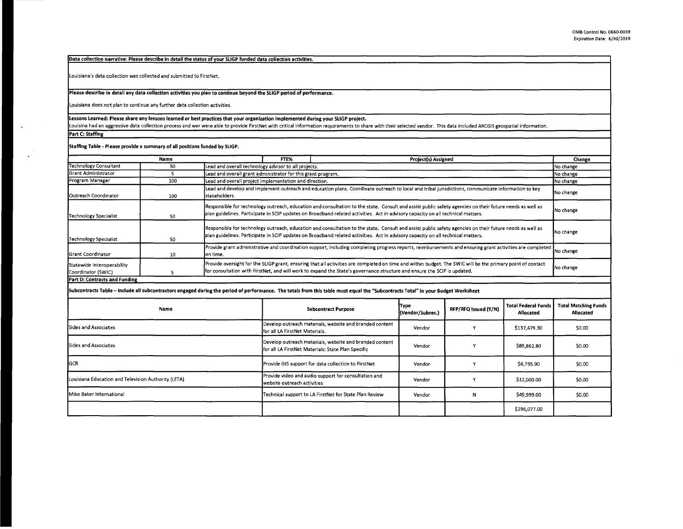Data collection narrative: Please describe in detail the status of vour SLIGP funded data collection activities.

Louisiana's data collection was collected and submitted to FirstNet.

## Please describe in detail any data collection activities you plan to continue beyond the SLIGP period of performance.

Louisiana does not plan to continue any further data collection activities.

## Lessons Learned: Please share any lessons learned or best practices that your organization implemented during your SLIGP project.

Louisina had an aggressive data collection process and wer were able to provide FirstNet with critical information requirements to share with their selected vendor. This data included ARCGIS geospatial information.

**Part** C: **Staffing** 

**Staffing Table** - **Please provide a summary of all positions funded by SLIGP.** 

|                                                  | Name |                                                              | FTE%                                                   | Project(s) Assigned                                                                                                                                                                                                                                                                           | Change    |  |  |
|--------------------------------------------------|------|--------------------------------------------------------------|--------------------------------------------------------|-----------------------------------------------------------------------------------------------------------------------------------------------------------------------------------------------------------------------------------------------------------------------------------------------|-----------|--|--|
| <b>Technology Consultant</b>                     | 50   | Lead and overall technology advisor to all projects.         |                                                        | No change                                                                                                                                                                                                                                                                                     |           |  |  |
| <b>Grant Administrator</b>                       |      | Lead and overall grant administrator for this grant program. |                                                        |                                                                                                                                                                                                                                                                                               | No change |  |  |
| Program Manager                                  | 100  |                                                              | Lead and overall project implementation and direction. |                                                                                                                                                                                                                                                                                               |           |  |  |
| <b>IOutreach Coordinator</b>                     | 100  | Istakeholders.                                               |                                                        | Lead and develop and implement outreach and education plans. Coordinate outreach to local and tribal jurisdictions, communicate information to key                                                                                                                                            | No change |  |  |
| Technology Specialist                            | 50   |                                                              |                                                        | Responsible for technology outreach, education and consultation to the state. Consult and assist public safety agencies on their future needs as well as<br>[plan guidelines. Participate in SCIP updates on Broadband related activities. Act in advisory capacity on all technical matters. | No change |  |  |
| Technology Specialist                            | 50   |                                                              |                                                        | Responsible for technology outreach, education and consultation to the state. Consult and assist public safety agencies on their future needs as well as<br>plan guidelines. Participate in SCIP updates on Broadband related activities. Act in advisory capacity on all technical matters.  | No change |  |  |
| <b>Grant Coordinator</b>                         | 10   | on time.                                                     |                                                        | Provide grant administrative and coordination support, including completing progress reports, reimbursements and ensuring grant activities are completed [                                                                                                                                    | No change |  |  |
| Statewide Interoperability<br>Coordinator (SWIC) |      |                                                              |                                                        | Provide oversight for the SLIGP grant, ensuring that all activities are completed on time and within budget. The SWIC will be the primary point of contact<br>for consultation with FirstNet, and will work to expand the State's governance structure and ensure the SCIP is updated,        | No change |  |  |

## **Part D: Contracts and Funding**

**Subcontracts Table** - **Include all subcontractors engaged during the period of performance. The totals from this table must equal the "Subcontracts Total"** in **your Budget Worksheet** 

| Name                                                | <b>Subcontract Purpose</b>                                                                                    | [Type<br>(Vendor/Subrec.) | RFP/RFQ Issued (Y/N) | <b>Total Federal Funds</b><br>Allocated | <b>Total Matching Funds</b><br>Allocated |
|-----------------------------------------------------|---------------------------------------------------------------------------------------------------------------|---------------------------|----------------------|-----------------------------------------|------------------------------------------|
| Sides and Associates                                | Develop outreach materials, website and branded content<br>for all LA FirstNet Materials.                     | Vendor                    |                      | \$137,479.30                            | \$0.00                                   |
| Sides and Associates                                | Develop outreach materials, website and branded content<br>for all LA FirstNet Materials: State Plan Specific | Vendor                    |                      | \$89,862.80                             | \$0.00                                   |
| <b>GCR</b>                                          | Provide GIS support for data collection to FirstNet                                                           | Vendor                    |                      | \$6,735.90                              | \$0.00                                   |
| Louisiana Education and Television Authority (LETA) | Provide video and audio support for consultation and<br>website outreach activities                           | Vendor                    |                      | \$12,000.00                             | \$0.00                                   |
| <b>I</b> Mike Baker International                   | Technical support to LA FirstNet for State Plan Review                                                        | Vendor                    | N                    | \$49,999.00                             | \$0.00                                   |
|                                                     |                                                                                                               |                           |                      | \$296.077.00                            |                                          |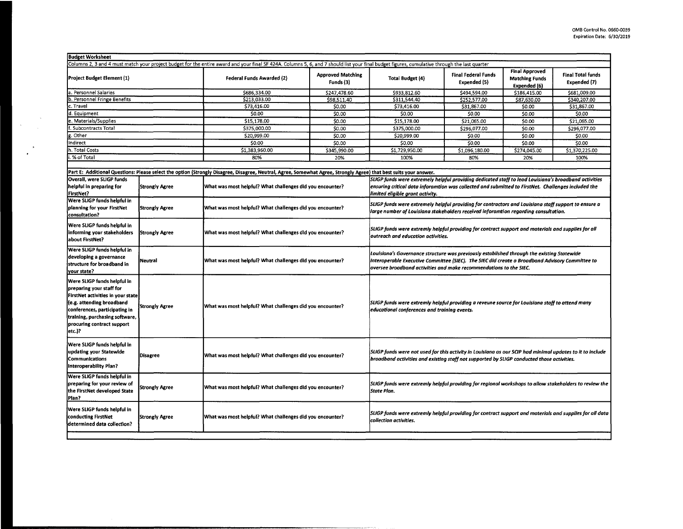| <b>Budget Worksheet</b>                                                                                                                                                                                                              |                       |                                                                                                                                                                   |                                                                                                                                                                                                                                                                     |                                                                                                                                                                                                                                                  |                                            |                                                                |                                          |
|--------------------------------------------------------------------------------------------------------------------------------------------------------------------------------------------------------------------------------------|-----------------------|-------------------------------------------------------------------------------------------------------------------------------------------------------------------|---------------------------------------------------------------------------------------------------------------------------------------------------------------------------------------------------------------------------------------------------------------------|--------------------------------------------------------------------------------------------------------------------------------------------------------------------------------------------------------------------------------------------------|--------------------------------------------|----------------------------------------------------------------|------------------------------------------|
| Columns 2, 3 and 4 must match your project budget for the entire award and your final SF 424A. Columns 5, 6, and 7 should list your final budget figures, cumulative through the last quarter                                        |                       |                                                                                                                                                                   |                                                                                                                                                                                                                                                                     |                                                                                                                                                                                                                                                  |                                            |                                                                |                                          |
| Project Budget Element (1)                                                                                                                                                                                                           |                       | <b>Federal Funds Awarded (2)</b>                                                                                                                                  | <b>Approved Matching</b><br>Funds (3)                                                                                                                                                                                                                               | <b>Total Budget (4)</b>                                                                                                                                                                                                                          | <b>Final Federal Funds</b><br>Expended (5) | <b>Final Approved</b><br><b>Matching Funds</b><br>Expended (6) | <b>Final Total funds</b><br>Expended (7) |
| a. Personnel Salaries                                                                                                                                                                                                                |                       | \$686,334.00                                                                                                                                                      | \$247.478.60                                                                                                                                                                                                                                                        | \$933,812.60                                                                                                                                                                                                                                     | \$494,594.00                               | \$186,415.00                                                   | \$681,009.00                             |
| b. Personnel Fringe Benefits                                                                                                                                                                                                         |                       | \$213,033.00                                                                                                                                                      | \$98,511.40                                                                                                                                                                                                                                                         | \$311,544.40                                                                                                                                                                                                                                     | \$252,577.00                               | \$87,630,00                                                    | \$340,207.00                             |
| :. Travel                                                                                                                                                                                                                            |                       | \$73,416.00                                                                                                                                                       | \$0.00                                                                                                                                                                                                                                                              | \$73,416.00                                                                                                                                                                                                                                      | \$31,867.00                                | \$0.00                                                         | \$31,867.00                              |
| d. Equipment                                                                                                                                                                                                                         |                       | \$0.00                                                                                                                                                            | \$0.00                                                                                                                                                                                                                                                              | \$0.00                                                                                                                                                                                                                                           | SO.00                                      | \$0.00                                                         | \$0.00                                   |
| e. Materials/Supplies                                                                                                                                                                                                                |                       | \$15.178.00                                                                                                                                                       | \$0.00                                                                                                                                                                                                                                                              | \$15,178.00                                                                                                                                                                                                                                      | \$21,065.00                                | 50.00                                                          | \$21,065.00                              |
| . Subcontracts Total                                                                                                                                                                                                                 |                       | \$375,000.00                                                                                                                                                      | \$0.00                                                                                                                                                                                                                                                              | \$375,000.00                                                                                                                                                                                                                                     | \$296,077.00                               | \$0.00                                                         | \$296,077.00                             |
| z. Other                                                                                                                                                                                                                             |                       | \$20,999.00                                                                                                                                                       | \$0.00                                                                                                                                                                                                                                                              | \$20,999.00                                                                                                                                                                                                                                      | \$0.00                                     | \$0.00                                                         | \$0.00                                   |
| ndirect                                                                                                                                                                                                                              |                       | \$0.00                                                                                                                                                            | \$0.00                                                                                                                                                                                                                                                              | \$0.00                                                                                                                                                                                                                                           | \$0.00                                     | 50.00                                                          | \$0.00                                   |
| h. Total Costs                                                                                                                                                                                                                       |                       | \$1,383,960.00                                                                                                                                                    | \$345,990.00                                                                                                                                                                                                                                                        | \$1,729,950.00                                                                                                                                                                                                                                   | \$1,096,180.00                             | \$274,045.00                                                   | \$1,370,225.00                           |
| .% of Total                                                                                                                                                                                                                          |                       | 80%                                                                                                                                                               | 20%                                                                                                                                                                                                                                                                 | 100%                                                                                                                                                                                                                                             | 80%                                        | 20%                                                            | 100%                                     |
|                                                                                                                                                                                                                                      |                       |                                                                                                                                                                   |                                                                                                                                                                                                                                                                     |                                                                                                                                                                                                                                                  |                                            |                                                                |                                          |
|                                                                                                                                                                                                                                      |                       | Part E: Additional Questions: Please select the option (Strongly Disagree, Disagree, Neutral, Agree, Somewhat Agree, Strongly Agree) that best suits your answer. |                                                                                                                                                                                                                                                                     |                                                                                                                                                                                                                                                  |                                            |                                                                |                                          |
| Overall, were SLIGP funds                                                                                                                                                                                                            |                       |                                                                                                                                                                   |                                                                                                                                                                                                                                                                     |                                                                                                                                                                                                                                                  |                                            |                                                                |                                          |
| helpful in preparing for<br>FirstNet?                                                                                                                                                                                                | <b>Strongly Agree</b> | What was most helpful? What challenges did you encounter?                                                                                                         |                                                                                                                                                                                                                                                                     | SLIGP funds were extremely helpful providing dedicated staff to lead Louisiana's broadband activities<br>ensuring critical data inforamtion was collected and submitted to FirstNet. Challenges included the<br>limited eligible grant activity. |                                            |                                                                |                                          |
| Were SLIGP funds helpful in<br>planning for your FirstNet<br>consultation?                                                                                                                                                           | <b>Strongly Agree</b> | What was most helpful? What challenges did you encounter?                                                                                                         | SLIGP funds were extremely helpful providing for contractors and Louisiana staff support to ensure a<br>large number of Louisiana stakeholders received inforamtion regarding consultation.                                                                         |                                                                                                                                                                                                                                                  |                                            |                                                                |                                          |
| Were SLIGP funds helpful in<br>informing your stakeholders<br>about FirstNet?                                                                                                                                                        | <b>Strongly Agree</b> | What was most helpful? What challenges did you encounter?                                                                                                         | SLIGP funds were extremly helpful providing for contract support and materials and supplies for all<br>outreach and education activities.                                                                                                                           |                                                                                                                                                                                                                                                  |                                            |                                                                |                                          |
| Were SLIGP funds helpful in<br>developing a governance<br>structure for broadband in<br>your state?                                                                                                                                  | Neutral               | What was most helpful? What challenges did you encounter?                                                                                                         | Louisiana's Governance structure was previously established through the existing Statewide<br>Interoperable Executive Committee (SIEC). The SIEC did create a Broadband Advisory Committee to<br>oversee broadband activities and make recommendations to the SIEC. |                                                                                                                                                                                                                                                  |                                            |                                                                |                                          |
| Were SLIGP funds helpful in<br>preparing your staff for<br>FirstNet activities in your state<br>(e.g. attending broadband<br>conferences, participating in<br>training, purchasing software,<br>procuring contract support<br>etc.)? | Strongly Agree        | What was most helpful? What challenges did you encounter?                                                                                                         | SLIGP funds were extremly helpful providing a reveune source for Louisiana staff to attend many<br>educational conferences and training events.                                                                                                                     |                                                                                                                                                                                                                                                  |                                            |                                                                |                                          |
| Were SLIGP funds helpful in<br>updating your Statewide<br><b>Communications</b><br>Interoperability Plan?                                                                                                                            | Disagree              | What was most helpful? What challenges did you encounter?                                                                                                         |                                                                                                                                                                                                                                                                     | SLIGP funds were not used for this activity in Louisiana as our SCIP had minimal updates to it to include<br>broadband activities and existing staff not supported by SLIGP conducted those activities.                                          |                                            |                                                                |                                          |
| Were SLIGP funds helpful in<br>preparing for your review of<br>the FirstNet developed State<br>Plan?                                                                                                                                 | Strongly Agree        | What was most helpful? What challenges did you encounter?                                                                                                         | SLIGP funds were extremly helpful providing for regional workshops to allow stakeholders to review the<br>State Plan.                                                                                                                                               |                                                                                                                                                                                                                                                  |                                            |                                                                |                                          |
| Were SLIGP funds helpful in<br>conducting FirstNet<br>determined data collection?                                                                                                                                                    | <b>Strongly Agree</b> | What was most helpful? What challenges did you encounter?                                                                                                         | SLIGP funds were extremly helpful providing for contract support and materials and supplies for all data <br>collection activities.                                                                                                                                 |                                                                                                                                                                                                                                                  |                                            |                                                                |                                          |
|                                                                                                                                                                                                                                      |                       |                                                                                                                                                                   |                                                                                                                                                                                                                                                                     |                                                                                                                                                                                                                                                  |                                            |                                                                |                                          |